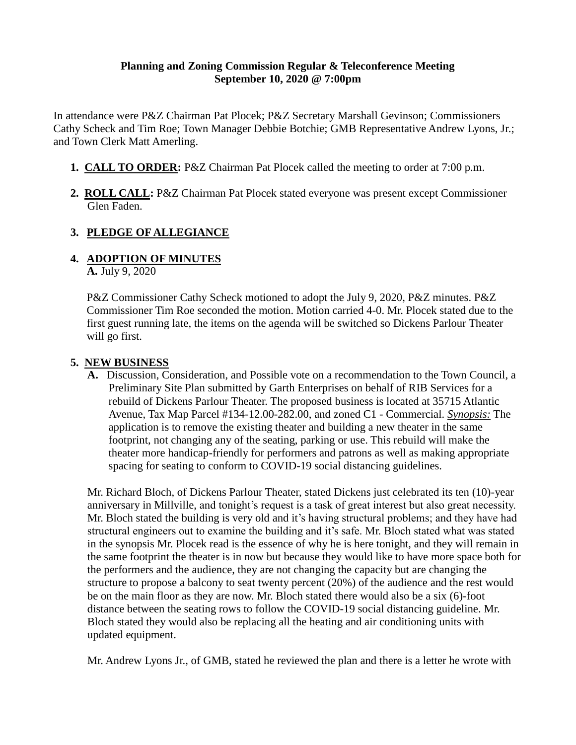### **Planning and Zoning Commission Regular & Teleconference Meeting September 10, 2020 @ 7:00pm**

In attendance were P&Z Chairman Pat Plocek; P&Z Secretary Marshall Gevinson; Commissioners Cathy Scheck and Tim Roe; Town Manager Debbie Botchie; GMB Representative Andrew Lyons, Jr.; and Town Clerk Matt Amerling.

- **1. CALL TO ORDER:** P&Z Chairman Pat Plocek called the meeting to order at 7:00 p.m.
- **2. ROLL CALL:** P&Z Chairman Pat Plocek stated everyone was present except Commissioner Glen Faden.

# **3. PLEDGE OF ALLEGIANCE**

# **4. ADOPTION OF MINUTES**

**A.** July 9, 2020

P&Z Commissioner Cathy Scheck motioned to adopt the July 9, 2020, P&Z minutes. P&Z Commissioner Tim Roe seconded the motion. Motion carried 4-0. Mr. Plocek stated due to the first guest running late, the items on the agenda will be switched so Dickens Parlour Theater will go first.

## **5. NEW BUSINESS**

**A.** Discussion, Consideration, and Possible vote on a recommendation to the Town Council, a Preliminary Site Plan submitted by Garth Enterprises on behalf of RIB Services for a rebuild of Dickens Parlour Theater. The proposed business is located at 35715 Atlantic Avenue, Tax Map Parcel #134-12.00-282.00, and zoned C1 - Commercial. *Synopsis:* The application is to remove the existing theater and building a new theater in the same footprint, not changing any of the seating, parking or use. This rebuild will make the theater more handicap-friendly for performers and patrons as well as making appropriate spacing for seating to conform to COVID-19 social distancing guidelines.

Mr. Richard Bloch, of Dickens Parlour Theater, stated Dickens just celebrated its ten (10)-year anniversary in Millville, and tonight's request is a task of great interest but also great necessity. Mr. Bloch stated the building is very old and it's having structural problems; and they have had structural engineers out to examine the building and it's safe. Mr. Bloch stated what was stated in the synopsis Mr. Plocek read is the essence of why he is here tonight, and they will remain in the same footprint the theater is in now but because they would like to have more space both for the performers and the audience, they are not changing the capacity but are changing the structure to propose a balcony to seat twenty percent (20%) of the audience and the rest would be on the main floor as they are now. Mr. Bloch stated there would also be a six (6)-foot distance between the seating rows to follow the COVID-19 social distancing guideline. Mr. Bloch stated they would also be replacing all the heating and air conditioning units with updated equipment.

Mr. Andrew Lyons Jr., of GMB, stated he reviewed the plan and there is a letter he wrote with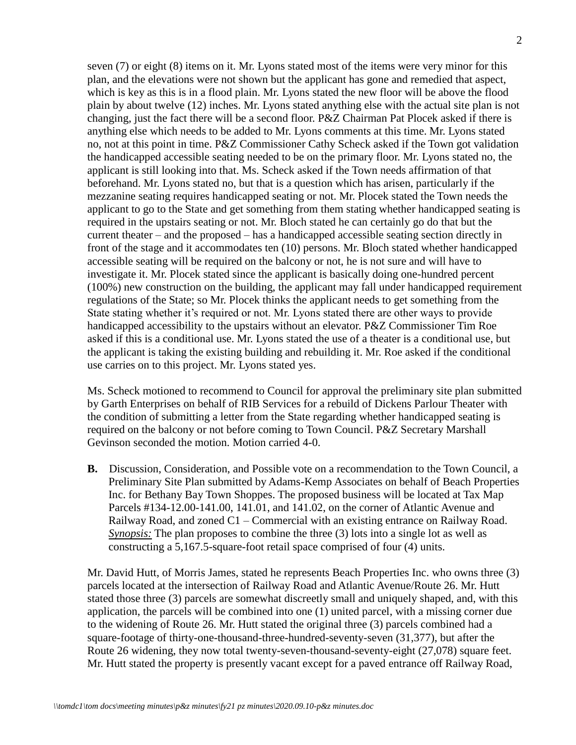seven (7) or eight (8) items on it. Mr. Lyons stated most of the items were very minor for this plan, and the elevations were not shown but the applicant has gone and remedied that aspect, which is key as this is in a flood plain. Mr. Lyons stated the new floor will be above the flood plain by about twelve (12) inches. Mr. Lyons stated anything else with the actual site plan is not changing, just the fact there will be a second floor. P&Z Chairman Pat Plocek asked if there is anything else which needs to be added to Mr. Lyons comments at this time. Mr. Lyons stated no, not at this point in time. P&Z Commissioner Cathy Scheck asked if the Town got validation the handicapped accessible seating needed to be on the primary floor. Mr. Lyons stated no, the applicant is still looking into that. Ms. Scheck asked if the Town needs affirmation of that beforehand. Mr. Lyons stated no, but that is a question which has arisen, particularly if the mezzanine seating requires handicapped seating or not. Mr. Plocek stated the Town needs the applicant to go to the State and get something from them stating whether handicapped seating is required in the upstairs seating or not. Mr. Bloch stated he can certainly go do that but the current theater – and the proposed – has a handicapped accessible seating section directly in front of the stage and it accommodates ten (10) persons. Mr. Bloch stated whether handicapped accessible seating will be required on the balcony or not, he is not sure and will have to investigate it. Mr. Plocek stated since the applicant is basically doing one-hundred percent (100%) new construction on the building, the applicant may fall under handicapped requirement regulations of the State; so Mr. Plocek thinks the applicant needs to get something from the State stating whether it's required or not. Mr. Lyons stated there are other ways to provide handicapped accessibility to the upstairs without an elevator. P&Z Commissioner Tim Roe asked if this is a conditional use. Mr. Lyons stated the use of a theater is a conditional use, but the applicant is taking the existing building and rebuilding it. Mr. Roe asked if the conditional use carries on to this project. Mr. Lyons stated yes.

Ms. Scheck motioned to recommend to Council for approval the preliminary site plan submitted by Garth Enterprises on behalf of RIB Services for a rebuild of Dickens Parlour Theater with the condition of submitting a letter from the State regarding whether handicapped seating is required on the balcony or not before coming to Town Council. P&Z Secretary Marshall Gevinson seconded the motion. Motion carried 4-0.

**B.** Discussion, Consideration, and Possible vote on a recommendation to the Town Council, a Preliminary Site Plan submitted by Adams-Kemp Associates on behalf of Beach Properties Inc. for Bethany Bay Town Shoppes. The proposed business will be located at Tax Map Parcels #134-12.00-141.00, 141.01, and 141.02, on the corner of Atlantic Avenue and Railway Road, and zoned C1 – Commercial with an existing entrance on Railway Road. *Synopsis:* The plan proposes to combine the three (3) lots into a single lot as well as constructing a 5,167.5-square-foot retail space comprised of four (4) units.

Mr. David Hutt, of Morris James, stated he represents Beach Properties Inc. who owns three (3) parcels located at the intersection of Railway Road and Atlantic Avenue/Route 26. Mr. Hutt stated those three (3) parcels are somewhat discreetly small and uniquely shaped, and, with this application, the parcels will be combined into one (1) united parcel, with a missing corner due to the widening of Route 26. Mr. Hutt stated the original three (3) parcels combined had a square-footage of thirty-one-thousand-three-hundred-seventy-seven (31,377), but after the Route 26 widening, they now total twenty-seven-thousand-seventy-eight (27,078) square feet. Mr. Hutt stated the property is presently vacant except for a paved entrance off Railway Road,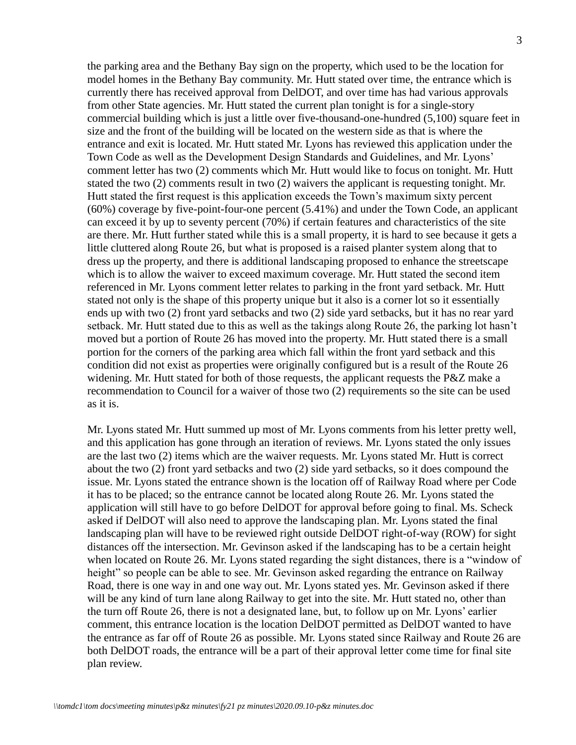the parking area and the Bethany Bay sign on the property, which used to be the location for model homes in the Bethany Bay community. Mr. Hutt stated over time, the entrance which is currently there has received approval from DelDOT, and over time has had various approvals from other State agencies. Mr. Hutt stated the current plan tonight is for a single-story commercial building which is just a little over five-thousand-one-hundred (5,100) square feet in size and the front of the building will be located on the western side as that is where the entrance and exit is located. Mr. Hutt stated Mr. Lyons has reviewed this application under the Town Code as well as the Development Design Standards and Guidelines, and Mr. Lyons' comment letter has two (2) comments which Mr. Hutt would like to focus on tonight. Mr. Hutt stated the two (2) comments result in two (2) waivers the applicant is requesting tonight. Mr. Hutt stated the first request is this application exceeds the Town's maximum sixty percent (60%) coverage by five-point-four-one percent (5.41%) and under the Town Code, an applicant can exceed it by up to seventy percent (70%) if certain features and characteristics of the site are there. Mr. Hutt further stated while this is a small property, it is hard to see because it gets a little cluttered along Route 26, but what is proposed is a raised planter system along that to dress up the property, and there is additional landscaping proposed to enhance the streetscape which is to allow the waiver to exceed maximum coverage. Mr. Hutt stated the second item referenced in Mr. Lyons comment letter relates to parking in the front yard setback. Mr. Hutt stated not only is the shape of this property unique but it also is a corner lot so it essentially ends up with two (2) front yard setbacks and two (2) side yard setbacks, but it has no rear yard setback. Mr. Hutt stated due to this as well as the takings along Route 26, the parking lot hasn't moved but a portion of Route 26 has moved into the property. Mr. Hutt stated there is a small portion for the corners of the parking area which fall within the front yard setback and this condition did not exist as properties were originally configured but is a result of the Route 26 widening. Mr. Hutt stated for both of those requests, the applicant requests the P&Z make a recommendation to Council for a waiver of those two (2) requirements so the site can be used as it is.

Mr. Lyons stated Mr. Hutt summed up most of Mr. Lyons comments from his letter pretty well, and this application has gone through an iteration of reviews. Mr. Lyons stated the only issues are the last two (2) items which are the waiver requests. Mr. Lyons stated Mr. Hutt is correct about the two (2) front yard setbacks and two (2) side yard setbacks, so it does compound the issue. Mr. Lyons stated the entrance shown is the location off of Railway Road where per Code it has to be placed; so the entrance cannot be located along Route 26. Mr. Lyons stated the application will still have to go before DelDOT for approval before going to final. Ms. Scheck asked if DelDOT will also need to approve the landscaping plan. Mr. Lyons stated the final landscaping plan will have to be reviewed right outside DelDOT right-of-way (ROW) for sight distances off the intersection. Mr. Gevinson asked if the landscaping has to be a certain height when located on Route 26. Mr. Lyons stated regarding the sight distances, there is a "window of height" so people can be able to see. Mr. Gevinson asked regarding the entrance on Railway Road, there is one way in and one way out. Mr. Lyons stated yes. Mr. Gevinson asked if there will be any kind of turn lane along Railway to get into the site. Mr. Hutt stated no, other than the turn off Route 26, there is not a designated lane, but, to follow up on Mr. Lyons' earlier comment, this entrance location is the location DelDOT permitted as DelDOT wanted to have the entrance as far off of Route 26 as possible. Mr. Lyons stated since Railway and Route 26 are both DelDOT roads, the entrance will be a part of their approval letter come time for final site plan review.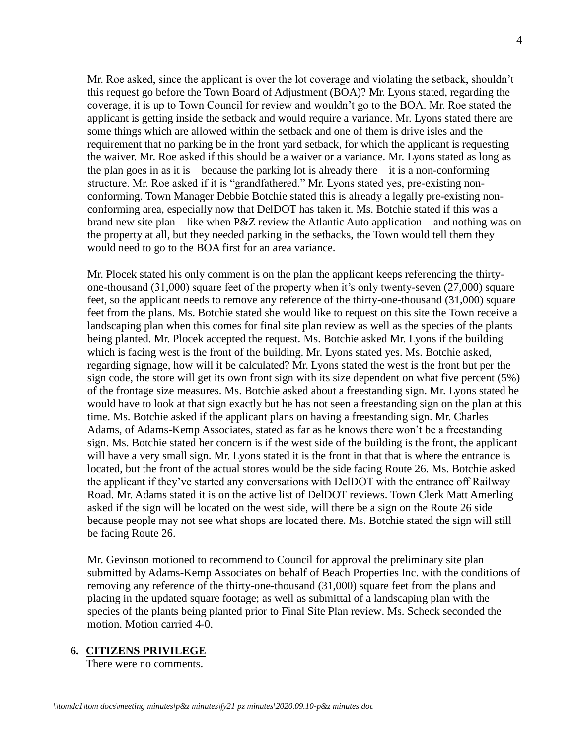Mr. Roe asked, since the applicant is over the lot coverage and violating the setback, shouldn't this request go before the Town Board of Adjustment (BOA)? Mr. Lyons stated, regarding the coverage, it is up to Town Council for review and wouldn't go to the BOA. Mr. Roe stated the applicant is getting inside the setback and would require a variance. Mr. Lyons stated there are some things which are allowed within the setback and one of them is drive isles and the requirement that no parking be in the front yard setback, for which the applicant is requesting the waiver. Mr. Roe asked if this should be a waiver or a variance. Mr. Lyons stated as long as the plan goes in as it is – because the parking lot is already there – it is a non-conforming structure. Mr. Roe asked if it is "grandfathered." Mr. Lyons stated yes, pre-existing nonconforming. Town Manager Debbie Botchie stated this is already a legally pre-existing nonconforming area, especially now that DelDOT has taken it. Ms. Botchie stated if this was a brand new site plan – like when P&Z review the Atlantic Auto application – and nothing was on the property at all, but they needed parking in the setbacks, the Town would tell them they would need to go to the BOA first for an area variance.

Mr. Plocek stated his only comment is on the plan the applicant keeps referencing the thirtyone-thousand (31,000) square feet of the property when it's only twenty-seven (27,000) square feet, so the applicant needs to remove any reference of the thirty-one-thousand (31,000) square feet from the plans. Ms. Botchie stated she would like to request on this site the Town receive a landscaping plan when this comes for final site plan review as well as the species of the plants being planted. Mr. Plocek accepted the request. Ms. Botchie asked Mr. Lyons if the building which is facing west is the front of the building. Mr. Lyons stated yes. Ms. Botchie asked, regarding signage, how will it be calculated? Mr. Lyons stated the west is the front but per the sign code, the store will get its own front sign with its size dependent on what five percent (5%) of the frontage size measures. Ms. Botchie asked about a freestanding sign. Mr. Lyons stated he would have to look at that sign exactly but he has not seen a freestanding sign on the plan at this time. Ms. Botchie asked if the applicant plans on having a freestanding sign. Mr. Charles Adams, of Adams-Kemp Associates, stated as far as he knows there won't be a freestanding sign. Ms. Botchie stated her concern is if the west side of the building is the front, the applicant will have a very small sign. Mr. Lyons stated it is the front in that that is where the entrance is located, but the front of the actual stores would be the side facing Route 26. Ms. Botchie asked the applicant if they've started any conversations with DelDOT with the entrance off Railway Road. Mr. Adams stated it is on the active list of DelDOT reviews. Town Clerk Matt Amerling asked if the sign will be located on the west side, will there be a sign on the Route 26 side because people may not see what shops are located there. Ms. Botchie stated the sign will still be facing Route 26.

Mr. Gevinson motioned to recommend to Council for approval the preliminary site plan submitted by Adams-Kemp Associates on behalf of Beach Properties Inc. with the conditions of removing any reference of the thirty-one-thousand (31,000) square feet from the plans and placing in the updated square footage; as well as submittal of a landscaping plan with the species of the plants being planted prior to Final Site Plan review. Ms. Scheck seconded the motion. Motion carried 4-0.

### **6. CITIZENS PRIVILEGE**

There were no comments.